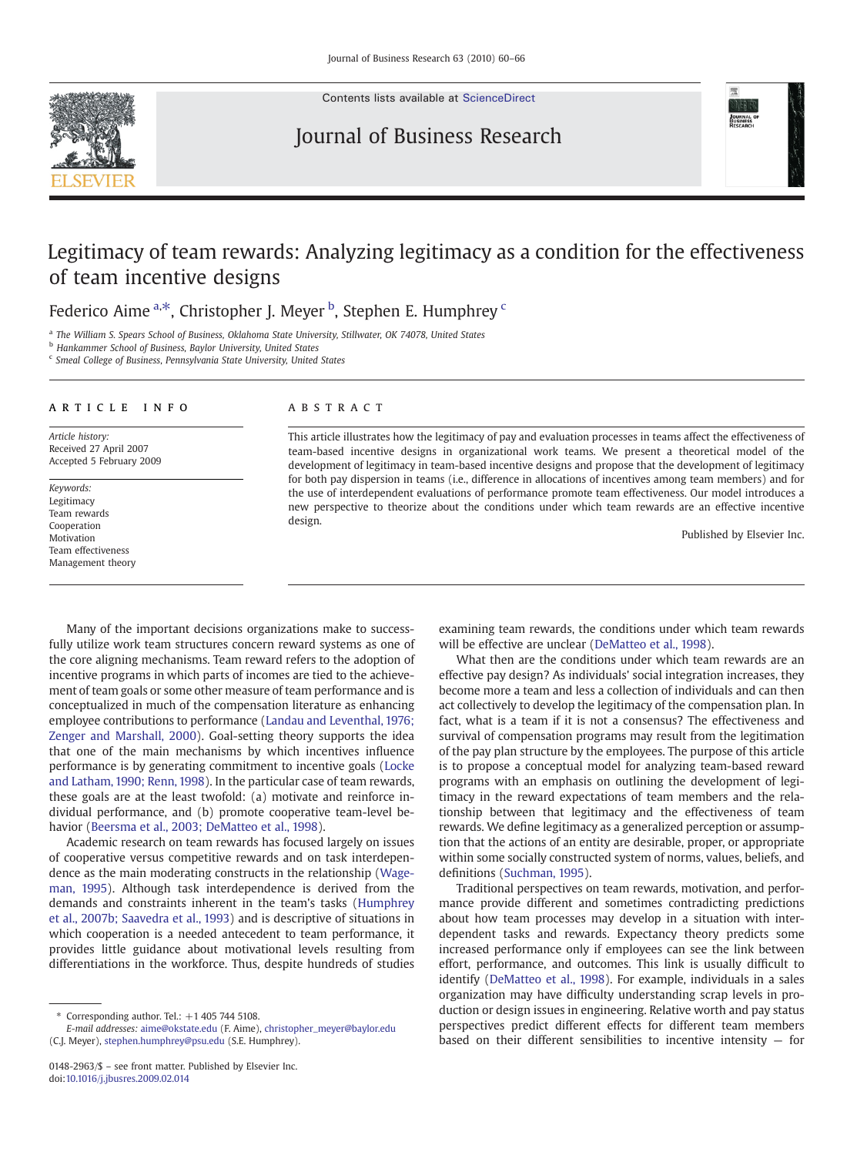

Contents lists available at [ScienceDirect](http://www.sciencedirect.com/science/journal/01482963)

## Journal of Business Research



## Legitimacy of team rewards: Analyzing legitimacy as a condition for the effectiveness of team incentive designs

Federico Aime <sup>a,\*</sup>, Christopher J. Meyer <sup>b</sup>, Stephen E. Humphrey <sup>c</sup>

a The William S. Spears School of Business, Oklahoma State University, Stillwater, OK 74078, United States

**b** Hankammer School of Business, Baylor University, United States

<sup>c</sup> Smeal College of Business, Pennsylvania State University, United States

### article info abstract

Article history: Received 27 April 2007 Accepted 5 February 2009

Keywords: Legitimacy Team rewards Cooperation Motivation Team effectiveness Management theory

This article illustrates how the legitimacy of pay and evaluation processes in teams affect the effectiveness of team-based incentive designs in organizational work teams. We present a theoretical model of the development of legitimacy in team-based incentive designs and propose that the development of legitimacy for both pay dispersion in teams (i.e., difference in allocations of incentives among team members) and for the use of interdependent evaluations of performance promote team effectiveness. Our model introduces a new perspective to theorize about the conditions under which team rewards are an effective incentive design.

Published by Elsevier Inc.

Many of the important decisions organizations make to successfully utilize work team structures concern reward systems as one of the core aligning mechanisms. Team reward refers to the adoption of incentive programs in which parts of incomes are tied to the achievement of team goals or some other measure of team performance and is conceptualized in much of the compensation literature as enhancing employee contributions to performance ([Landau and Leventhal, 1976;](#page--1-0) [Zenger and Marshall, 2000\)](#page--1-0). Goal-setting theory supports the idea that one of the main mechanisms by which incentives influence performance is by generating commitment to incentive goals [\(Locke](#page--1-0) [and Latham, 1990; Renn, 1998\)](#page--1-0). In the particular case of team rewards, these goals are at the least twofold: (a) motivate and reinforce individual performance, and (b) promote cooperative team-level behavior ([Beersma et al., 2003; DeMatteo et al., 1998](#page--1-0)).

Academic research on team rewards has focused largely on issues of cooperative versus competitive rewards and on task interdependence as the main moderating constructs in the relationship [\(Wage](#page--1-0)[man, 1995\)](#page--1-0). Although task interdependence is derived from the demands and constraints inherent in the team's tasks ([Humphrey](#page--1-0) [et al., 2007b; Saavedra et al., 1993\)](#page--1-0) and is descriptive of situations in which cooperation is a needed antecedent to team performance, it provides little guidance about motivational levels resulting from differentiations in the workforce. Thus, despite hundreds of studies

examining team rewards, the conditions under which team rewards will be effective are unclear ([DeMatteo et al., 1998\)](#page--1-0).

What then are the conditions under which team rewards are an effective pay design? As individuals' social integration increases, they become more a team and less a collection of individuals and can then act collectively to develop the legitimacy of the compensation plan. In fact, what is a team if it is not a consensus? The effectiveness and survival of compensation programs may result from the legitimation of the pay plan structure by the employees. The purpose of this article is to propose a conceptual model for analyzing team-based reward programs with an emphasis on outlining the development of legitimacy in the reward expectations of team members and the relationship between that legitimacy and the effectiveness of team rewards. We define legitimacy as a generalized perception or assumption that the actions of an entity are desirable, proper, or appropriate within some socially constructed system of norms, values, beliefs, and definitions ([Suchman, 1995](#page--1-0)).

Traditional perspectives on team rewards, motivation, and performance provide different and sometimes contradicting predictions about how team processes may develop in a situation with interdependent tasks and rewards. Expectancy theory predicts some increased performance only if employees can see the link between effort, performance, and outcomes. This link is usually difficult to identify [\(DeMatteo et al., 1998\)](#page--1-0). For example, individuals in a sales organization may have difficulty understanding scrap levels in production or design issues in engineering. Relative worth and pay status perspectives predict different effects for different team members based on their different sensibilities to incentive intensity  $-$  for

 $*$  Corresponding author. Tel.:  $+14057445108$ .

E-mail addresses: [aime@okstate.edu](mailto:aime@okstate.edu) (F. Aime), [christopher\\_meyer@baylor.edu](mailto:christopher_meyer@baylor.edu) (C.J. Meyer), [stephen.humphrey@psu.edu](mailto:stephen.humphrey@psu.edu) (S.E. Humphrey).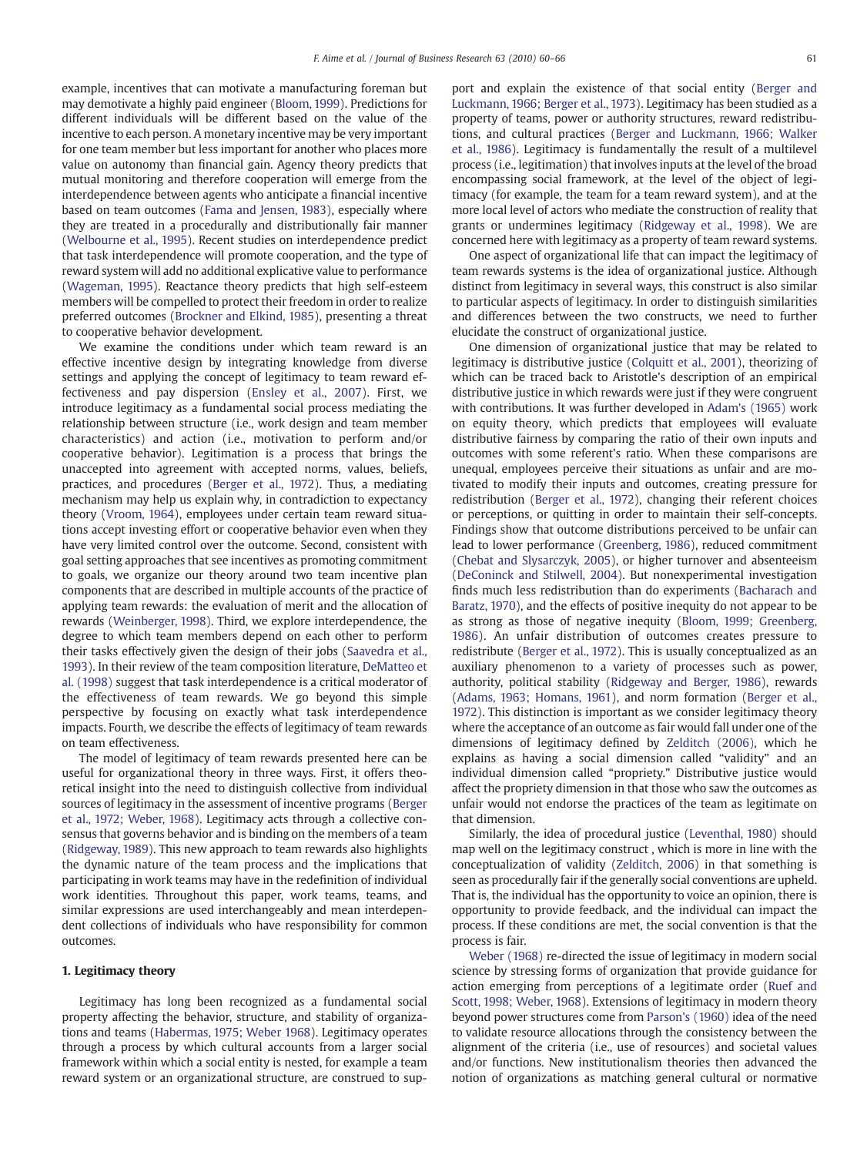example, incentives that can motivate a manufacturing foreman but may demotivate a highly paid engineer [\(Bloom, 1999](#page--1-0)). Predictions for different individuals will be different based on the value of the incentive to each person. A monetary incentive may be very important for one team member but less important for another who places more value on autonomy than financial gain. Agency theory predicts that mutual monitoring and therefore cooperation will emerge from the interdependence between agents who anticipate a financial incentive based on team outcomes ([Fama and Jensen, 1983](#page--1-0)), especially where they are treated in a procedurally and distributionally fair manner [\(Welbourne et al., 1995\)](#page--1-0). Recent studies on interdependence predict that task interdependence will promote cooperation, and the type of reward system will add no additional explicative value to performance [\(Wageman, 1995](#page--1-0)). Reactance theory predicts that high self-esteem members will be compelled to protect their freedom in order to realize preferred outcomes [\(Brockner and Elkind, 1985\)](#page--1-0), presenting a threat to cooperative behavior development.

We examine the conditions under which team reward is an effective incentive design by integrating knowledge from diverse settings and applying the concept of legitimacy to team reward effectiveness and pay dispersion [\(Ensley et al., 2007\)](#page--1-0). First, we introduce legitimacy as a fundamental social process mediating the relationship between structure (i.e., work design and team member characteristics) and action (i.e., motivation to perform and/or cooperative behavior). Legitimation is a process that brings the unaccepted into agreement with accepted norms, values, beliefs, practices, and procedures [\(Berger et al., 1972\)](#page--1-0). Thus, a mediating mechanism may help us explain why, in contradiction to expectancy theory [\(Vroom, 1964\)](#page--1-0), employees under certain team reward situations accept investing effort or cooperative behavior even when they have very limited control over the outcome. Second, consistent with goal setting approaches that see incentives as promoting commitment to goals, we organize our theory around two team incentive plan components that are described in multiple accounts of the practice of applying team rewards: the evaluation of merit and the allocation of rewards ([Weinberger, 1998\)](#page--1-0). Third, we explore interdependence, the degree to which team members depend on each other to perform their tasks effectively given the design of their jobs ([Saavedra et al.,](#page--1-0) [1993](#page--1-0)). In their review of the team composition literature, [DeMatteo et](#page--1-0) [al. \(1998\)](#page--1-0) suggest that task interdependence is a critical moderator of the effectiveness of team rewards. We go beyond this simple perspective by focusing on exactly what task interdependence impacts. Fourth, we describe the effects of legitimacy of team rewards on team effectiveness.

The model of legitimacy of team rewards presented here can be useful for organizational theory in three ways. First, it offers theoretical insight into the need to distinguish collective from individual sources of legitimacy in the assessment of incentive programs ([Berger](#page--1-0) [et al., 1972; Weber, 1968\)](#page--1-0). Legitimacy acts through a collective consensus that governs behavior and is binding on the members of a team [\(Ridgeway, 1989\)](#page--1-0). This new approach to team rewards also highlights the dynamic nature of the team process and the implications that participating in work teams may have in the redefinition of individual work identities. Throughout this paper, work teams, teams, and similar expressions are used interchangeably and mean interdependent collections of individuals who have responsibility for common outcomes.

### 1. Legitimacy theory

Legitimacy has long been recognized as a fundamental social property affecting the behavior, structure, and stability of organizations and teams [\(Habermas, 1975; Weber 1968](#page--1-0)). Legitimacy operates through a process by which cultural accounts from a larger social framework within which a social entity is nested, for example a team reward system or an organizational structure, are construed to support and explain the existence of that social entity ([Berger and](#page--1-0) [Luckmann, 1966; Berger et al., 1973\)](#page--1-0). Legitimacy has been studied as a property of teams, power or authority structures, reward redistributions, and cultural practices [\(Berger and Luckmann, 1966; Walker](#page--1-0) [et al., 1986](#page--1-0)). Legitimacy is fundamentally the result of a multilevel process (i.e., legitimation) that involves inputs at the level of the broad encompassing social framework, at the level of the object of legitimacy (for example, the team for a team reward system), and at the more local level of actors who mediate the construction of reality that grants or undermines legitimacy ([Ridgeway et al., 1998](#page--1-0)). We are concerned here with legitimacy as a property of team reward systems.

One aspect of organizational life that can impact the legitimacy of team rewards systems is the idea of organizational justice. Although distinct from legitimacy in several ways, this construct is also similar to particular aspects of legitimacy. In order to distinguish similarities and differences between the two constructs, we need to further elucidate the construct of organizational justice.

One dimension of organizational justice that may be related to legitimacy is distributive justice [\(Colquitt et al., 2001](#page--1-0)), theorizing of which can be traced back to Aristotle's description of an empirical distributive justice in which rewards were just if they were congruent with contributions. It was further developed in [Adam's \(1965\)](#page--1-0) work on equity theory, which predicts that employees will evaluate distributive fairness by comparing the ratio of their own inputs and outcomes with some referent's ratio. When these comparisons are unequal, employees perceive their situations as unfair and are motivated to modify their inputs and outcomes, creating pressure for redistribution ([Berger et al., 1972\)](#page--1-0), changing their referent choices or perceptions, or quitting in order to maintain their self-concepts. Findings show that outcome distributions perceived to be unfair can lead to lower performance ([Greenberg, 1986](#page--1-0)), reduced commitment [\(Chebat and Slysarczyk, 2005\)](#page--1-0), or higher turnover and absenteeism [\(DeConinck and Stilwell, 2004](#page--1-0)). But nonexperimental investigation finds much less redistribution than do experiments ([Bacharach and](#page--1-0) [Baratz, 1970](#page--1-0)), and the effects of positive inequity do not appear to be as strong as those of negative inequity ([Bloom, 1999; Greenberg,](#page--1-0) [1986\)](#page--1-0). An unfair distribution of outcomes creates pressure to redistribute [\(Berger et al., 1972\)](#page--1-0). This is usually conceptualized as an auxiliary phenomenon to a variety of processes such as power, authority, political stability ([Ridgeway and Berger, 1986\)](#page--1-0), rewards [\(Adams, 1963; Homans, 1961](#page--1-0)), and norm formation [\(Berger et al.,](#page--1-0) [1972\)](#page--1-0). This distinction is important as we consider legitimacy theory where the acceptance of an outcome as fair would fall under one of the dimensions of legitimacy defined by [Zelditch \(2006\)](#page--1-0), which he explains as having a social dimension called "validity" and an individual dimension called "propriety." Distributive justice would affect the propriety dimension in that those who saw the outcomes as unfair would not endorse the practices of the team as legitimate on that dimension.

Similarly, the idea of procedural justice ([Leventhal, 1980\)](#page--1-0) should map well on the legitimacy construct , which is more in line with the conceptualization of validity ([Zelditch, 2006](#page--1-0)) in that something is seen as procedurally fair if the generally social conventions are upheld. That is, the individual has the opportunity to voice an opinion, there is opportunity to provide feedback, and the individual can impact the process. If these conditions are met, the social convention is that the process is fair.

[Weber \(1968\)](#page--1-0) re-directed the issue of legitimacy in modern social science by stressing forms of organization that provide guidance for action emerging from perceptions of a legitimate order [\(Ruef and](#page--1-0) [Scott, 1998; Weber, 1968\)](#page--1-0). Extensions of legitimacy in modern theory beyond power structures come from [Parson's \(1960\)](#page--1-0) idea of the need to validate resource allocations through the consistency between the alignment of the criteria (i.e., use of resources) and societal values and/or functions. New institutionalism theories then advanced the notion of organizations as matching general cultural or normative